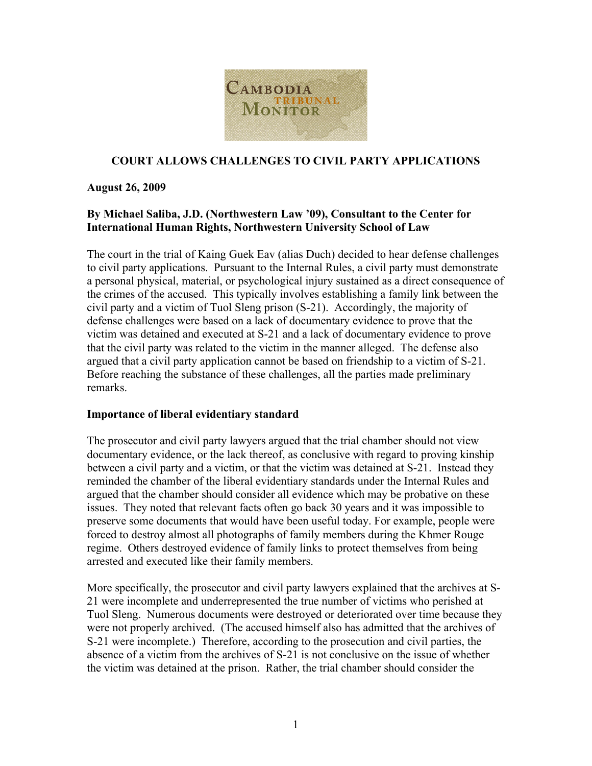

### **COURT ALLOWS CHALLENGES TO CIVIL PARTY APPLICATIONS**

#### **August 26, 2009**

# **By Michael Saliba, J.D. (Northwestern Law '09), Consultant to the Center for International Human Rights, Northwestern University School of Law**

The court in the trial of Kaing Guek Eav (alias Duch) decided to hear defense challenges to civil party applications. Pursuant to the Internal Rules, a civil party must demonstrate a personal physical, material, or psychological injury sustained as a direct consequence of the crimes of the accused. This typically involves establishing a family link between the civil party and a victim of Tuol Sleng prison (S-21). Accordingly, the majority of defense challenges were based on a lack of documentary evidence to prove that the victim was detained and executed at S-21 and a lack of documentary evidence to prove that the civil party was related to the victim in the manner alleged. The defense also argued that a civil party application cannot be based on friendship to a victim of S-21. Before reaching the substance of these challenges, all the parties made preliminary remarks.

#### **Importance of liberal evidentiary standard**

The prosecutor and civil party lawyers argued that the trial chamber should not view documentary evidence, or the lack thereof, as conclusive with regard to proving kinship between a civil party and a victim, or that the victim was detained at S-21. Instead they reminded the chamber of the liberal evidentiary standards under the Internal Rules and argued that the chamber should consider all evidence which may be probative on these issues. They noted that relevant facts often go back 30 years and it was impossible to preserve some documents that would have been useful today. For example, people were forced to destroy almost all photographs of family members during the Khmer Rouge regime. Others destroyed evidence of family links to protect themselves from being arrested and executed like their family members.

More specifically, the prosecutor and civil party lawyers explained that the archives at S-21 were incomplete and underrepresented the true number of victims who perished at Tuol Sleng. Numerous documents were destroyed or deteriorated over time because they were not properly archived. (The accused himself also has admitted that the archives of S-21 were incomplete.) Therefore, according to the prosecution and civil parties, the absence of a victim from the archives of S-21 is not conclusive on the issue of whether the victim was detained at the prison. Rather, the trial chamber should consider the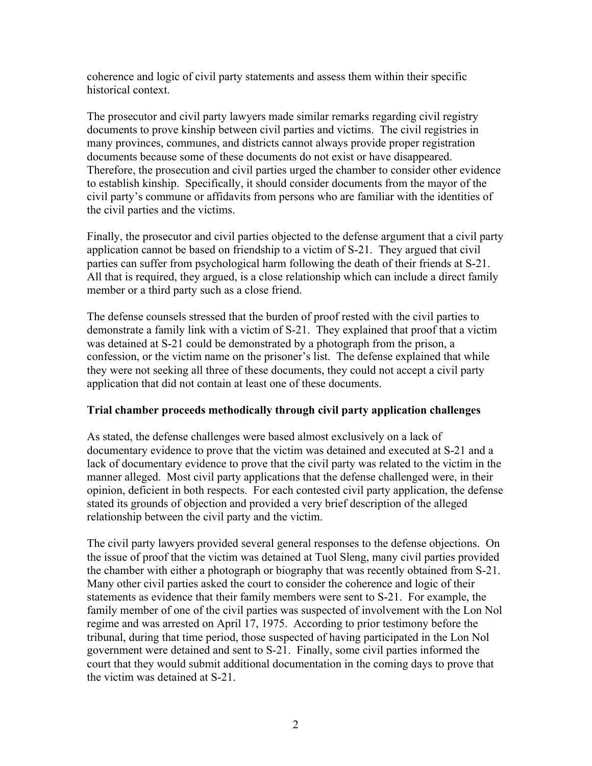coherence and logic of civil party statements and assess them within their specific historical context.

The prosecutor and civil party lawyers made similar remarks regarding civil registry documents to prove kinship between civil parties and victims. The civil registries in many provinces, communes, and districts cannot always provide proper registration documents because some of these documents do not exist or have disappeared. Therefore, the prosecution and civil parties urged the chamber to consider other evidence to establish kinship. Specifically, it should consider documents from the mayor of the civil party's commune or affidavits from persons who are familiar with the identities of the civil parties and the victims.

Finally, the prosecutor and civil parties objected to the defense argument that a civil party application cannot be based on friendship to a victim of S-21. They argued that civil parties can suffer from psychological harm following the death of their friends at S-21. All that is required, they argued, is a close relationship which can include a direct family member or a third party such as a close friend.

The defense counsels stressed that the burden of proof rested with the civil parties to demonstrate a family link with a victim of S-21. They explained that proof that a victim was detained at S-21 could be demonstrated by a photograph from the prison, a confession, or the victim name on the prisoner's list. The defense explained that while they were not seeking all three of these documents, they could not accept a civil party application that did not contain at least one of these documents.

# **Trial chamber proceeds methodically through civil party application challenges**

As stated, the defense challenges were based almost exclusively on a lack of documentary evidence to prove that the victim was detained and executed at S-21 and a lack of documentary evidence to prove that the civil party was related to the victim in the manner alleged. Most civil party applications that the defense challenged were, in their opinion, deficient in both respects. For each contested civil party application, the defense stated its grounds of objection and provided a very brief description of the alleged relationship between the civil party and the victim.

The civil party lawyers provided several general responses to the defense objections. On the issue of proof that the victim was detained at Tuol Sleng, many civil parties provided the chamber with either a photograph or biography that was recently obtained from S-21. Many other civil parties asked the court to consider the coherence and logic of their statements as evidence that their family members were sent to S-21. For example, the family member of one of the civil parties was suspected of involvement with the Lon Nol regime and was arrested on April 17, 1975. According to prior testimony before the tribunal, during that time period, those suspected of having participated in the Lon Nol government were detained and sent to S-21. Finally, some civil parties informed the court that they would submit additional documentation in the coming days to prove that the victim was detained at S-21.